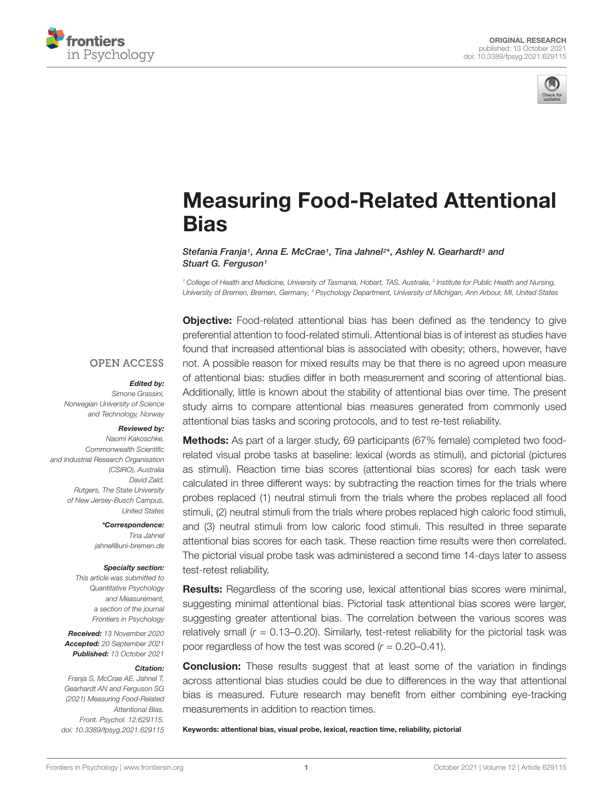



# [Measuring Food-Related Attentional](https://www.frontiersin.org/articles/10.3389/fpsyg.2021.629115/full) **Bias**

Stefania Franja1, Anna E. McCrae1, Tina Jahnel<sup>2</sup>\*, Ashley N. Gearhardt<sup>3</sup> and Stuart G. Ferguson<sup>1</sup>

<sup>1</sup> College of Health and Medicine, University of Tasmania, Hobart, TAS, Australia, <sup>2</sup> Institute for Public Health and Nursing, University of Bremen, Bremen, Germany, <sup>3</sup> Psychology Department, University of Michigan, Ann Arbour, MI, United States

**Objective:** Food-related attentional bias has been defined as the tendency to give preferential attention to food-related stimuli. Attentional bias is of interest as studies have found that increased attentional bias is associated with obesity; others, however, have not. A possible reason for mixed results may be that there is no agreed upon measure of attentional bias: studies differ in both measurement and scoring of attentional bias. Additionally, little is known about the stability of attentional bias over time. The present study aims to compare attentional bias measures generated from commonly used attentional bias tasks and scoring protocols, and to test re-test reliability.

**OPEN ACCESS** 

#### Edited by:

Simone Grassini, Norwegian University of Science and Technology, Norway

### Reviewed by:

Naomi Kakoschke, Commonwealth Scientific and Industrial Research Organisation (CSIRO), Australia David Zald, Rutgers, The State University of New Jersey-Busch Campus, United States

> \*Correspondence: Tina Jahnel jahnel@uni-bremen.de

#### Specialty section:

This article was submitted to Quantitative Psychology and Measurement, a section of the journal Frontiers in Psychology

Received: 13 November 2020 Accepted: 20 September 2021 Published: 13 October 2021

#### Citation:

Franja S, McCrae AE, Jahnel T, Gearhardt AN and Ferguson SG (2021) Measuring Food-Related Attentional Bias. Front. Psychol. 12:629115. doi: [10.3389/fpsyg.2021.629115](https://doi.org/10.3389/fpsyg.2021.629115) Methods: As part of a larger study, 69 participants (67% female) completed two foodrelated visual probe tasks at baseline: lexical (words as stimuli), and pictorial (pictures as stimuli). Reaction time bias scores (attentional bias scores) for each task were calculated in three different ways: by subtracting the reaction times for the trials where probes replaced (1) neutral stimuli from the trials where the probes replaced all food stimuli, (2) neutral stimuli from the trials where probes replaced high caloric food stimuli, and (3) neutral stimuli from low caloric food stimuli. This resulted in three separate attentional bias scores for each task. These reaction time results were then correlated. The pictorial visual probe task was administered a second time 14-days later to assess test-retest reliability.

Results: Regardless of the scoring use, lexical attentional bias scores were minimal, suggesting minimal attentional bias. Pictorial task attentional bias scores were larger, suggesting greater attentional bias. The correlation between the various scores was relatively small  $(r = 0.13 - 0.20)$ . Similarly, test-retest reliability for the pictorial task was poor regardless of how the test was scored  $(r = 0.20 - 0.41)$ .

**Conclusion:** These results suggest that at least some of the variation in findings across attentional bias studies could be due to differences in the way that attentional bias is measured. Future research may benefit from either combining eye-tracking measurements in addition to reaction times.

Keywords: attentional bias, visual probe, lexical, reaction time, reliability, pictorial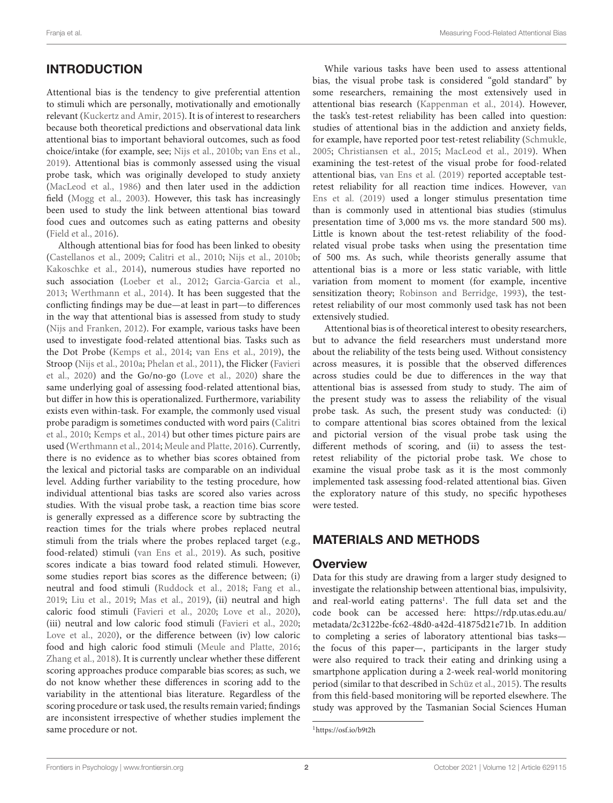# **INTRODUCTION**

Attentional bias is the tendency to give preferential attention to stimuli which are personally, motivationally and emotionally relevant [\(Kuckertz and Amir,](#page-6-0) [2015\)](#page-6-0). It is of interest to researchers because both theoretical predictions and observational data link attentional bias to important behavioral outcomes, such as food choice/intake (for example, see; [Nijs et al.,](#page-6-1) [2010b;](#page-6-1) [van Ens et al.,](#page-7-0) [2019\)](#page-7-0). Attentional bias is commonly assessed using the visual probe task, which was originally developed to study anxiety [\(MacLeod et al.,](#page-6-2) [1986\)](#page-6-2) and then later used in the addiction field [\(Mogg et al.,](#page-6-3) [2003\)](#page-6-3). However, this task has increasingly been used to study the link between attentional bias toward food cues and outcomes such as eating patterns and obesity [\(Field et al.,](#page-6-4) [2016\)](#page-6-4).

Although attentional bias for food has been linked to obesity [\(Castellanos et al.,](#page-6-5) [2009;](#page-6-5) [Calitri et al.,](#page-6-6) [2010;](#page-6-6) [Nijs et al.,](#page-6-1) [2010b;](#page-6-1) [Kakoschke et al.,](#page-6-7) [2014\)](#page-6-7), numerous studies have reported no such association [\(Loeber et al.,](#page-6-8) [2012;](#page-6-8) [Garcia-Garcia et al.,](#page-6-9) [2013;](#page-6-9) [Werthmann et al.,](#page-7-1) [2014\)](#page-7-1). It has been suggested that the conflicting findings may be due—at least in part—to differences in the way that attentional bias is assessed from study to study [\(Nijs and Franken,](#page-6-10) [2012\)](#page-6-10). For example, various tasks have been used to investigate food-related attentional bias. Tasks such as the Dot Probe [\(Kemps et al.,](#page-6-11) [2014;](#page-6-11) [van Ens et al.,](#page-7-0) [2019\)](#page-7-0), the Stroop [\(Nijs et al.,](#page-6-12) [2010a;](#page-6-12) [Phelan et al.,](#page-6-13) [2011\)](#page-6-13), the Flicker [\(Favieri](#page-6-14) [et al.,](#page-6-14) [2020\)](#page-6-14) and the Go/no-go [\(Love et al.,](#page-6-15) [2020\)](#page-6-15) share the same underlying goal of assessing food-related attentional bias, but differ in how this is operationalized. Furthermore, variability exists even within-task. For example, the commonly used visual probe paradigm is sometimes conducted with word pairs [\(Calitri](#page-6-6) [et al.,](#page-6-6) [2010;](#page-6-6) [Kemps et al.,](#page-6-11) [2014\)](#page-6-11) but other times picture pairs are used [\(Werthmann et al.,](#page-7-1) [2014;](#page-7-1) [Meule and Platte,](#page-6-16) [2016\)](#page-6-16). Currently, there is no evidence as to whether bias scores obtained from the lexical and pictorial tasks are comparable on an individual level. Adding further variability to the testing procedure, how individual attentional bias tasks are scored also varies across studies. With the visual probe task, a reaction time bias score is generally expressed as a difference score by subtracting the reaction times for the trials where probes replaced neutral stimuli from the trials where the probes replaced target (e.g., food-related) stimuli [\(van Ens et al.,](#page-7-0) [2019\)](#page-7-0). As such, positive scores indicate a bias toward food related stimuli. However, some studies report bias scores as the difference between; (i) neutral and food stimuli [\(Ruddock et al.,](#page-6-17) [2018;](#page-6-17) [Fang et al.,](#page-6-18) [2019;](#page-6-18) [Liu et al.,](#page-6-19) [2019;](#page-6-19) [Mas et al.,](#page-6-20) [2019\)](#page-6-20), (ii) neutral and high caloric food stimuli [\(Favieri et al.,](#page-6-14) [2020;](#page-6-14) [Love et al.,](#page-6-15) [2020\)](#page-6-15), (iii) neutral and low caloric food stimuli [\(Favieri et al.,](#page-6-14) [2020;](#page-6-14) [Love et al.,](#page-6-15) [2020\)](#page-6-15), or the difference between (iv) low caloric food and high caloric food stimuli [\(Meule and Platte,](#page-6-16) [2016;](#page-6-16) [Zhang et al.,](#page-7-2) [2018\)](#page-7-2). It is currently unclear whether these different scoring approaches produce comparable bias scores; as such, we do not know whether these differences in scoring add to the variability in the attentional bias literature. Regardless of the scoring procedure or task used, the results remain varied; findings are inconsistent irrespective of whether studies implement the same procedure or not.

While various tasks have been used to assess attentional bias, the visual probe task is considered "gold standard" by some researchers, remaining the most extensively used in attentional bias research [\(Kappenman et al.,](#page-6-21) [2014\)](#page-6-21). However, the task's test-retest reliability has been called into question: studies of attentional bias in the addiction and anxiety fields, for example, have reported poor test-retest reliability [\(Schmukle,](#page-7-3) [2005;](#page-7-3) [Christiansen et al.,](#page-6-22) [2015;](#page-6-22) [MacLeod et al.,](#page-6-23) [2019\)](#page-6-23). When examining the test-retest of the visual probe for food-related attentional bias, [van Ens et al.](#page-7-0) [\(2019\)](#page-7-0) reported acceptable testretest reliability for all reaction time indices. However, [van](#page-7-0) [Ens et al.](#page-7-0) [\(2019\)](#page-7-0) used a longer stimulus presentation time than is commonly used in attentional bias studies (stimulus presentation time of 3,000 ms vs. the more standard 500 ms). Little is known about the test-retest reliability of the foodrelated visual probe tasks when using the presentation time of 500 ms. As such, while theorists generally assume that attentional bias is a more or less static variable, with little variation from moment to moment (for example, incentive sensitization theory; [Robinson and Berridge,](#page-6-24) [1993\)](#page-6-24), the testretest reliability of our most commonly used task has not been extensively studied.

Attentional bias is of theoretical interest to obesity researchers, but to advance the field researchers must understand more about the reliability of the tests being used. Without consistency across measures, it is possible that the observed differences across studies could be due to differences in the way that attentional bias is assessed from study to study. The aim of the present study was to assess the reliability of the visual probe task. As such, the present study was conducted: (i) to compare attentional bias scores obtained from the lexical and pictorial version of the visual probe task using the different methods of scoring, and (ii) to assess the testretest reliability of the pictorial probe task. We chose to examine the visual probe task as it is the most commonly implemented task assessing food-related attentional bias. Given the exploratory nature of this study, no specific hypotheses were tested.

#### MATERIALS AND METHODS

#### **Overview**

Data for this study are drawing from a larger study designed to investigate the relationship between attentional bias, impulsivity, and real-world eating patterns<sup>[1](#page-1-0)</sup>. The full data set and the code book can be accessed here: [https://rdp.utas.edu.au/](https://rdp.utas.edu.au/metadata/2c3122be-fc62-48d0-a42d-41875d21e71b) [metadata/2c3122be-fc62-48d0-a42d-41875d21e71b.](https://rdp.utas.edu.au/metadata/2c3122be-fc62-48d0-a42d-41875d21e71b) In addition to completing a series of laboratory attentional bias tasks the focus of this paper—, participants in the larger study were also required to track their eating and drinking using a smartphone application during a 2-week real-world monitoring period (similar to that described in [Schüz et al.,](#page-7-4) [2015\)](#page-7-4). The results from this field-based monitoring will be reported elsewhere. The study was approved by the Tasmanian Social Sciences Human

<span id="page-1-0"></span><sup>1</sup><https://osf.io/b9t2h>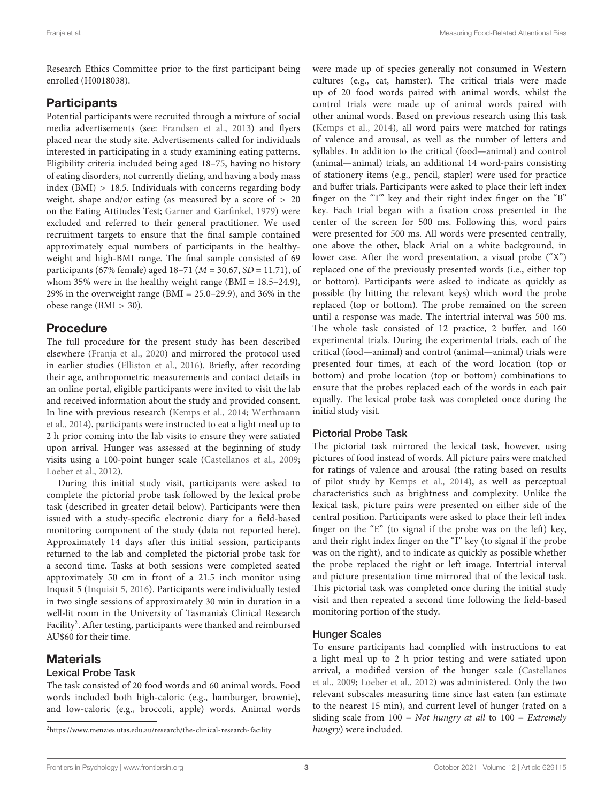Research Ethics Committee prior to the first participant being enrolled (H0018038).

### **Participants**

Potential participants were recruited through a mixture of social media advertisements (see: [Frandsen et al.,](#page-6-25) [2013\)](#page-6-25) and flyers placed near the study site. Advertisements called for individuals interested in participating in a study examining eating patterns. Eligibility criteria included being aged 18–75, having no history of eating disorders, not currently dieting, and having a body mass index (BMI)  $> 18.5$ . Individuals with concerns regarding body weight, shape and/or eating (as measured by a score of  $> 20$ on the Eating Attitudes Test; [Garner and Garfinkel,](#page-6-26) [1979\)](#page-6-26) were excluded and referred to their general practitioner. We used recruitment targets to ensure that the final sample contained approximately equal numbers of participants in the healthyweight and high-BMI range. The final sample consisted of 69 participants (67% female) aged 18–71 ( $M = 30.67$ , SD = 11.71), of whom 35% were in the healthy weight range (BMI = 18.5–24.9), 29% in the overweight range (BMI =  $25.0-29.9$ ), and 36% in the obese range (BMI > 30).

### Procedure

The full procedure for the present study has been described elsewhere [\(Franja et al.,](#page-6-27) [2020\)](#page-6-27) and mirrored the protocol used in earlier studies [\(Elliston et al.,](#page-6-28) [2016\)](#page-6-28). Briefly, after recording their age, anthropometric measurements and contact details in an online portal, eligible participants were invited to visit the lab and received information about the study and provided consent. In line with previous research [\(Kemps et al.,](#page-6-11) [2014;](#page-6-11) [Werthmann](#page-7-1) [et al.,](#page-7-1) [2014\)](#page-7-1), participants were instructed to eat a light meal up to 2 h prior coming into the lab visits to ensure they were satiated upon arrival. Hunger was assessed at the beginning of study visits using a 100-point hunger scale [\(Castellanos et al.,](#page-6-5) [2009;](#page-6-5) [Loeber et al.,](#page-6-8) [2012\)](#page-6-8).

During this initial study visit, participants were asked to complete the pictorial probe task followed by the lexical probe task (described in greater detail below). Participants were then issued with a study-specific electronic diary for a field-based monitoring component of the study (data not reported here). Approximately 14 days after this initial session, participants returned to the lab and completed the pictorial probe task for a second time. Tasks at both sessions were completed seated approximately 50 cm in front of a 21.5 inch monitor using Inqusit 5 [\(Inquisit 5,](#page-6-29) [2016\)](#page-6-29). Participants were individually tested in two single sessions of approximately 30 min in duration in a well-lit room in the University of Tasmania's Clinical Research Facility<sup>[2](#page-2-0)</sup>. After testing, participants were thanked and reimbursed AU\$60 for their time.

### **Materials**

#### Lexical Probe Task

The task consisted of 20 food words and 60 animal words. Food words included both high-caloric (e.g., hamburger, brownie), and low-caloric (e.g., broccoli, apple) words. Animal words were made up of species generally not consumed in Western cultures (e.g., cat, hamster). The critical trials were made up of 20 food words paired with animal words, whilst the control trials were made up of animal words paired with other animal words. Based on previous research using this task [\(Kemps et al.,](#page-6-11) [2014\)](#page-6-11), all word pairs were matched for ratings of valence and arousal, as well as the number of letters and syllables. In addition to the critical (food—animal) and control (animal—animal) trials, an additional 14 word-pairs consisting of stationery items (e.g., pencil, stapler) were used for practice and buffer trials. Participants were asked to place their left index finger on the "T" key and their right index finger on the "B" key. Each trial began with a fixation cross presented in the center of the screen for 500 ms. Following this, word pairs were presented for 500 ms. All words were presented centrally, one above the other, black Arial on a white background, in lower case. After the word presentation, a visual probe ("X") replaced one of the previously presented words (i.e., either top or bottom). Participants were asked to indicate as quickly as possible (by hitting the relevant keys) which word the probe replaced (top or bottom). The probe remained on the screen until a response was made. The intertrial interval was 500 ms. The whole task consisted of 12 practice, 2 buffer, and 160 experimental trials. During the experimental trials, each of the critical (food—animal) and control (animal—animal) trials were presented four times, at each of the word location (top or bottom) and probe location (top or bottom) combinations to ensure that the probes replaced each of the words in each pair equally. The lexical probe task was completed once during the initial study visit.

#### Pictorial Probe Task

The pictorial task mirrored the lexical task, however, using pictures of food instead of words. All picture pairs were matched for ratings of valence and arousal (the rating based on results of pilot study by [Kemps et al.,](#page-6-11) [2014\)](#page-6-11), as well as perceptual characteristics such as brightness and complexity. Unlike the lexical task, picture pairs were presented on either side of the central position. Participants were asked to place their left index finger on the "E" (to signal if the probe was on the left) key, and their right index finger on the "I" key (to signal if the probe was on the right), and to indicate as quickly as possible whether the probe replaced the right or left image. Intertrial interval and picture presentation time mirrored that of the lexical task. This pictorial task was completed once during the initial study visit and then repeated a second time following the field-based monitoring portion of the study.

#### Hunger Scales

To ensure participants had complied with instructions to eat a light meal up to 2 h prior testing and were satiated upon arrival, a modified version of the hunger scale [\(Castellanos](#page-6-5) [et al.,](#page-6-5) [2009;](#page-6-5) [Loeber et al.,](#page-6-8) [2012\)](#page-6-8) was administered. Only the two relevant subscales measuring time since last eaten (an estimate to the nearest 15 min), and current level of hunger (rated on a sliding scale from  $100 = Not$  hungry at all to  $100 = Extremely$ hungry) were included.

<span id="page-2-0"></span><sup>2</sup><https://www.menzies.utas.edu.au/research/the-clinical-research-facility>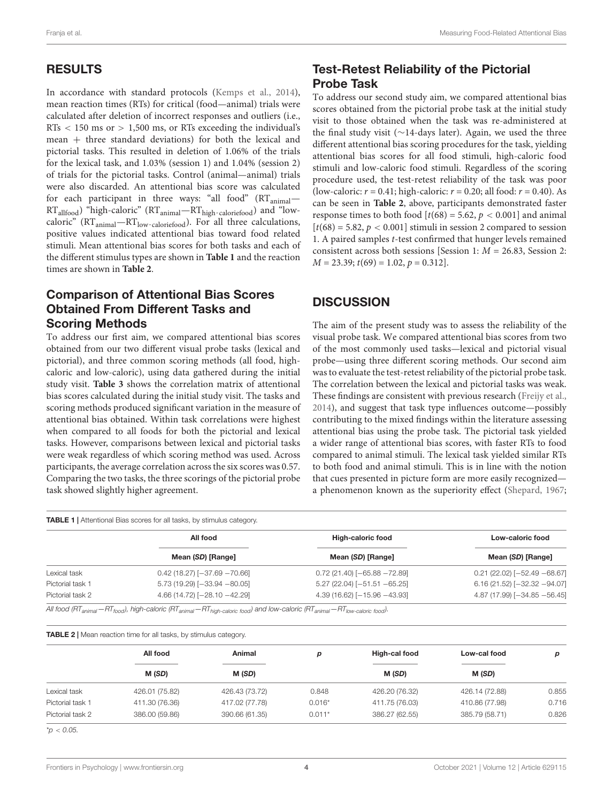# RESULTS

In accordance with standard protocols [\(Kemps et al.,](#page-6-11) [2014\)](#page-6-11), mean reaction times (RTs) for critical (food—animal) trials were calculated after deletion of incorrect responses and outliers (i.e.,  $RTs < 150$  ms or  $> 1,500$  ms, or RTs exceeding the individual's mean + three standard deviations) for both the lexical and pictorial tasks. This resulted in deletion of 1.06% of the trials for the lexical task, and 1.03% (session 1) and 1.04% (session 2) of trials for the pictorial tasks. Control (animal—animal) trials were also discarded. An attentional bias score was calculated for each participant in three ways: "all food"  $(RT_{\text{animal}} -$ RTallfood) "high-caloric" (RTanimal—RThigh-caloriefood) and "lowcaloric" (RT<sub>animal</sub>-RT<sub>low-caloriefood</sub>). For all three calculations, positive values indicated attentional bias toward food related stimuli. Mean attentional bias scores for both tasks and each of the different stimulus types are shown in **[Table 1](#page-3-0)** and the reaction times are shown in **[Table 2](#page-3-1)**.

## Comparison of Attentional Bias Scores Obtained From Different Tasks and Scoring Methods

To address our first aim, we compared attentional bias scores obtained from our two different visual probe tasks (lexical and pictorial), and three common scoring methods (all food, highcaloric and low-caloric), using data gathered during the initial study visit. **[Table 3](#page-4-0)** shows the correlation matrix of attentional bias scores calculated during the initial study visit. The tasks and scoring methods produced significant variation in the measure of attentional bias obtained. Within task correlations were highest when compared to all foods for both the pictorial and lexical tasks. However, comparisons between lexical and pictorial tasks were weak regardless of which scoring method was used. Across participants, the average correlation across the six scores was 0.57. Comparing the two tasks, the three scorings of the pictorial probe task showed slightly higher agreement.

# Test-Retest Reliability of the Pictorial Probe Task

To address our second study aim, we compared attentional bias scores obtained from the pictorial probe task at the initial study visit to those obtained when the task was re-administered at the final study visit (∼14-days later). Again, we used the three different attentional bias scoring procedures for the task, yielding attentional bias scores for all food stimuli, high-caloric food stimuli and low-caloric food stimuli. Regardless of the scoring procedure used, the test-retest reliability of the task was poor (low-caloric:  $r = 0.41$ ; high-caloric:  $r = 0.20$ ; all food:  $r = 0.40$ ). As can be seen in **[Table 2](#page-3-1)**, above, participants demonstrated faster response times to both food  $[t(68) = 5.62, p < 0.001]$  and animal  $[t(68) = 5.82, p < 0.001]$  stimuli in session 2 compared to session 1. A paired samples t-test confirmed that hunger levels remained consistent across both sessions [Session 1:  $M = 26.83$ , Session 2:  $M = 23.39$ ;  $t(69) = 1.02$ ,  $p = 0.312$ ].

## **DISCUSSION**

The aim of the present study was to assess the reliability of the visual probe task. We compared attentional bias scores from two of the most commonly used tasks—lexical and pictorial visual probe—using three different scoring methods. Our second aim was to evaluate the test-retest reliability of the pictorial probe task. The correlation between the lexical and pictorial tasks was weak. These findings are consistent with previous research [\(Freijy et al.,](#page-6-30) [2014\)](#page-6-30), and suggest that task type influences outcome—possibly contributing to the mixed findings within the literature assessing attentional bias using the probe task. The pictorial task yielded a wider range of attentional bias scores, with faster RTs to food compared to animal stimuli. The lexical task yielded similar RTs to both food and animal stimuli. This is in line with the notion that cues presented in picture form are more easily recognized a phenomenon known as the superiority effect [\(Shepard,](#page-7-5) [1967;](#page-7-5)

<span id="page-3-0"></span>

|                  | All food                             | <b>High-caloric food</b>      | Low-caloric food              |  |
|------------------|--------------------------------------|-------------------------------|-------------------------------|--|
|                  | Mean (SD) [Range]                    | Mean (SD) [Range]             | Mean (SD) [Range]             |  |
| Lexical task     | $0.42$ (18.27) [ $-37.69$ $-70.66$ ] | $0.72(21.40)$ [-65.88 -72.89] | $0.21(22.02)$ [-52.49 -68.67] |  |
| Pictorial task 1 | $5.73(19.29)$ [-33.94 -80.05]        | $5.27(22.04)$ [-51.51 -65.25] | $6.16(21.52)$ [-32.32 -94.07] |  |
| Pictorial task 2 | 4.66 (14.72) [-28.10 -42.29]         | $4.39(16.62)$ [-15.96 -43.93] | 4.87 (17.99) [-34.85 -56.45]  |  |

<span id="page-3-1"></span>TABLE 2 | Mean reaction time for all tasks, by stimulus category.

|                  | All food       | Animal         |          | High-cal food  | Low-cal food   | р     |
|------------------|----------------|----------------|----------|----------------|----------------|-------|
|                  | M (SD)         | M (SD)         |          | M (SD)         | M (SD)         |       |
| Lexical task     | 426.01 (75.82) | 426.43 (73.72) | 0.848    | 426.20 (76.32) | 426.14 (72.88) | 0.855 |
| Pictorial task 1 | 411.30 (76.36) | 417.02 (77.78) | $0.016*$ | 411.75 (76.03) | 410.86 (77.98) | 0.716 |
| Pictorial task 2 | 386.00 (59.86) | 390.66 (61.35) | $0.011*$ | 386.27 (62.55) | 385.79 (58.71) | 0.826 |

 $^{\star}D < 0.05$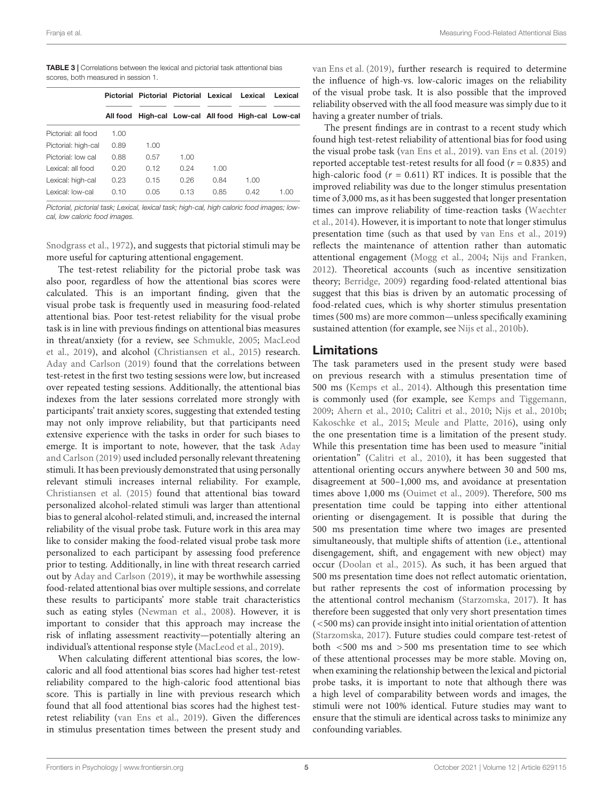<span id="page-4-0"></span>

| <b>TABLE 3</b>   Correlations between the lexical and pictorial task attentional bias |
|---------------------------------------------------------------------------------------|
| scores, both measured in session 1.                                                   |

|                     | Pictorial |      | Pictorial Pictorial Lexical |      | Lexical                                             | Lexical |
|---------------------|-----------|------|-----------------------------|------|-----------------------------------------------------|---------|
|                     |           |      |                             |      | All food High-cal Low-cal All food High-cal Low-cal |         |
| Pictorial: all food | 1.00      |      |                             |      |                                                     |         |
| Pictorial: high-cal | 0.89      | 1.00 |                             |      |                                                     |         |
| Pictorial: low cal  | 0.88      | 0.57 | 1.00                        |      |                                                     |         |
| Lexical: all food   | 0.20      | 0.12 | 0.24                        | 1.00 |                                                     |         |
| Lexical: high-cal   | 0.23      | 0.15 | 0.26                        | 0.84 | 1.00                                                |         |
| Lexical: low-cal    | 0.10      | 0.05 | 0.13                        | O 85 | 0.42                                                | 1 NO    |

Pictorial, pictorial task; Lexical, lexical task; high-cal, high caloric food images; lowcal, low caloric food images.

[Snodgrass et al.,](#page-7-6) [1972\)](#page-7-6), and suggests that pictorial stimuli may be more useful for capturing attentional engagement.

The test-retest reliability for the pictorial probe task was also poor, regardless of how the attentional bias scores were calculated. This is an important finding, given that the visual probe task is frequently used in measuring food-related attentional bias. Poor test-retest reliability for the visual probe task is in line with previous findings on attentional bias measures in threat/anxiety (for a review, see [Schmukle,](#page-7-3) [2005;](#page-7-3) [MacLeod](#page-6-23) [et al.,](#page-6-23) [2019\)](#page-6-23), and alcohol [\(Christiansen et al.,](#page-6-22) [2015\)](#page-6-22) research. [Aday and Carlson](#page-6-31) [\(2019\)](#page-6-31) found that the correlations between test-retest in the first two testing sessions were low, but increased over repeated testing sessions. Additionally, the attentional bias indexes from the later sessions correlated more strongly with participants' trait anxiety scores, suggesting that extended testing may not only improve reliability, but that participants need extensive experience with the tasks in order for such biases to emerge. It is important to note, however, that the task [Aday](#page-6-31) [and Carlson](#page-6-31) [\(2019\)](#page-6-31) used included personally relevant threatening stimuli. It has been previously demonstrated that using personally relevant stimuli increases internal reliability. For example, [Christiansen et al.](#page-6-22) [\(2015\)](#page-6-22) found that attentional bias toward personalized alcohol-related stimuli was larger than attentional bias to general alcohol-related stimuli, and, increased the internal reliability of the visual probe task. Future work in this area may like to consider making the food-related visual probe task more personalized to each participant by assessing food preference prior to testing. Additionally, in line with threat research carried out by [Aday and Carlson](#page-6-31) [\(2019\)](#page-6-31), it may be worthwhile assessing food-related attentional bias over multiple sessions, and correlate these results to participants' more stable trait characteristics such as eating styles [\(Newman et al.,](#page-6-32) [2008\)](#page-6-32). However, it is important to consider that this approach may increase the risk of inflating assessment reactivity—potentially altering an individual's attentional response style [\(MacLeod et al.,](#page-6-23) [2019\)](#page-6-23).

When calculating different attentional bias scores, the lowcaloric and all food attentional bias scores had higher test-retest reliability compared to the high-caloric food attentional bias score. This is partially in line with previous research which found that all food attentional bias scores had the highest testretest reliability [\(van Ens et al.,](#page-7-0) [2019\)](#page-7-0). Given the differences in stimulus presentation times between the present study and

[van Ens et al.](#page-7-0) [\(2019\)](#page-7-0), further research is required to determine the influence of high-vs. low-caloric images on the reliability of the visual probe task. It is also possible that the improved reliability observed with the all food measure was simply due to it having a greater number of trials.

The present findings are in contrast to a recent study which found high test-retest reliability of attentional bias for food using the visual probe task [\(van Ens et al.,](#page-7-0) [2019\)](#page-7-0). [van Ens et al.](#page-7-0) [\(2019\)](#page-7-0) reported acceptable test-retest results for all food ( $r = 0.835$ ) and high-caloric food ( $r = 0.611$ ) RT indices. It is possible that the improved reliability was due to the longer stimulus presentation time of 3,000 ms, as it has been suggested that longer presentation times can improve reliability of time-reaction tasks [\(Waechter](#page-7-7) [et al.,](#page-7-7) [2014\)](#page-7-7). However, it is important to note that longer stimulus presentation time (such as that used by [van Ens et al.,](#page-7-0) [2019\)](#page-7-0) reflects the maintenance of attention rather than automatic attentional engagement [\(Mogg et al.,](#page-6-33) [2004;](#page-6-33) [Nijs and Franken,](#page-6-10) [2012\)](#page-6-10). Theoretical accounts (such as incentive sensitization theory; [Berridge,](#page-6-34) [2009\)](#page-6-34) regarding food-related attentional bias suggest that this bias is driven by an automatic processing of food-related cues, which is why shorter stimulus presentation times (500 ms) are more common—unless specifically examining sustained attention (for example, see [Nijs et al.,](#page-6-1) [2010b\)](#page-6-1).

#### Limitations

The task parameters used in the present study were based on previous research with a stimulus presentation time of 500 ms [\(Kemps et al.,](#page-6-11) [2014\)](#page-6-11). Although this presentation time is commonly used (for example, see [Kemps and Tiggemann,](#page-6-35) [2009;](#page-6-35) [Ahern et al.,](#page-6-36) [2010;](#page-6-36) [Calitri et al.,](#page-6-6) [2010;](#page-6-6) [Nijs et al.,](#page-6-1) [2010b;](#page-6-1) [Kakoschke et al.,](#page-6-37) [2015;](#page-6-37) [Meule and Platte,](#page-6-16) [2016\)](#page-6-16), using only the one presentation time is a limitation of the present study. While this presentation time has been used to measure "initial orientation" [\(Calitri et al.,](#page-6-6) [2010\)](#page-6-6), it has been suggested that attentional orienting occurs anywhere between 30 and 500 ms, disagreement at 500–1,000 ms, and avoidance at presentation times above 1,000 ms [\(Ouimet et al.,](#page-6-38) [2009\)](#page-6-38). Therefore, 500 ms presentation time could be tapping into either attentional orienting or disengagement. It is possible that during the 500 ms presentation time where two images are presented simultaneously, that multiple shifts of attention (i.e., attentional disengagement, shift, and engagement with new object) may occur [\(Doolan et al.,](#page-6-39) [2015\)](#page-6-39). As such, it has been argued that 500 ms presentation time does not reflect automatic orientation, but rather represents the cost of information processing by the attentional control mechanism [\(Starzomska,](#page-7-8) [2017\)](#page-7-8). It has therefore been suggested that only very short presentation times (<500 ms) can provide insight into initial orientation of attention [\(Starzomska,](#page-7-8) [2017\)](#page-7-8). Future studies could compare test-retest of both <500 ms and >500 ms presentation time to see which of these attentional processes may be more stable. Moving on, when examining the relationship between the lexical and pictorial probe tasks, it is important to note that although there was a high level of comparability between words and images, the stimuli were not 100% identical. Future studies may want to ensure that the stimuli are identical across tasks to minimize any confounding variables.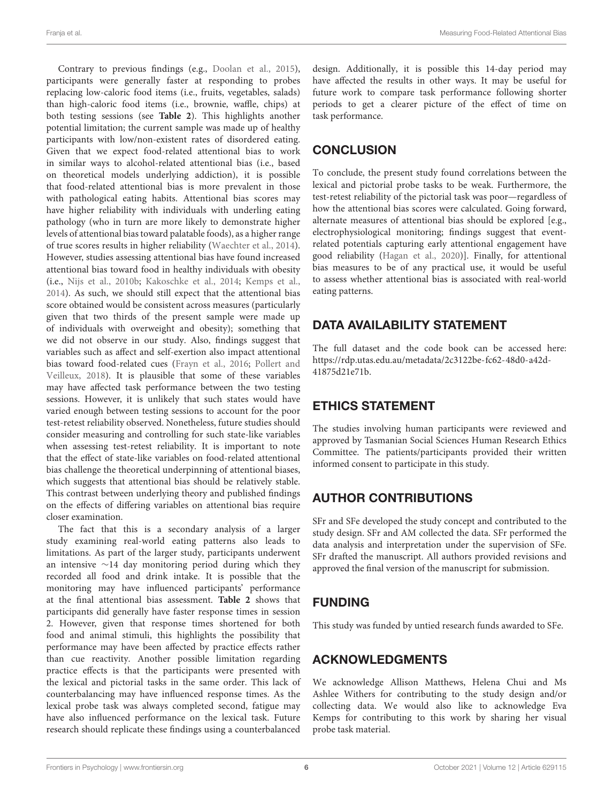Contrary to previous findings (e.g., [Doolan et al.,](#page-6-39) [2015\)](#page-6-39), participants were generally faster at responding to probes replacing low-caloric food items (i.e., fruits, vegetables, salads) than high-caloric food items (i.e., brownie, waffle, chips) at both testing sessions (see **[Table 2](#page-3-1)**). This highlights another potential limitation; the current sample was made up of healthy participants with low/non-existent rates of disordered eating. Given that we expect food-related attentional bias to work in similar ways to alcohol-related attentional bias (i.e., based on theoretical models underlying addiction), it is possible that food-related attentional bias is more prevalent in those with pathological eating habits. Attentional bias scores may have higher reliability with individuals with underling eating pathology (who in turn are more likely to demonstrate higher levels of attentional bias toward palatable foods), as a higher range of true scores results in higher reliability [\(Waechter et al.,](#page-7-7) [2014\)](#page-7-7). However, studies assessing attentional bias have found increased attentional bias toward food in healthy individuals with obesity (i.e., [Nijs et al.,](#page-6-1) [2010b;](#page-6-1) [Kakoschke et al.,](#page-6-7) [2014;](#page-6-7) [Kemps et al.,](#page-6-11) [2014\)](#page-6-11). As such, we should still expect that the attentional bias score obtained would be consistent across measures (particularly given that two thirds of the present sample were made up of individuals with overweight and obesity); something that we did not observe in our study. Also, findings suggest that variables such as affect and self-exertion also impact attentional bias toward food-related cues [\(Frayn et al.,](#page-6-40) [2016;](#page-6-40) [Pollert and](#page-6-41) [Veilleux,](#page-6-41) [2018\)](#page-6-41). It is plausible that some of these variables may have affected task performance between the two testing sessions. However, it is unlikely that such states would have varied enough between testing sessions to account for the poor test-retest reliability observed. Nonetheless, future studies should consider measuring and controlling for such state-like variables when assessing test-retest reliability. It is important to note that the effect of state-like variables on food-related attentional bias challenge the theoretical underpinning of attentional biases, which suggests that attentional bias should be relatively stable. This contrast between underlying theory and published findings on the effects of differing variables on attentional bias require closer examination.

The fact that this is a secondary analysis of a larger study examining real-world eating patterns also leads to limitations. As part of the larger study, participants underwent an intensive ∼14 day monitoring period during which they recorded all food and drink intake. It is possible that the monitoring may have influenced participants' performance at the final attentional bias assessment. **[Table 2](#page-3-1)** shows that participants did generally have faster response times in session 2. However, given that response times shortened for both food and animal stimuli, this highlights the possibility that performance may have been affected by practice effects rather than cue reactivity. Another possible limitation regarding practice effects is that the participants were presented with the lexical and pictorial tasks in the same order. This lack of counterbalancing may have influenced response times. As the lexical probe task was always completed second, fatigue may have also influenced performance on the lexical task. Future research should replicate these findings using a counterbalanced

design. Additionally, it is possible this 14-day period may have affected the results in other ways. It may be useful for future work to compare task performance following shorter periods to get a clearer picture of the effect of time on task performance.

### **CONCLUSION**

To conclude, the present study found correlations between the lexical and pictorial probe tasks to be weak. Furthermore, the test-retest reliability of the pictorial task was poor—regardless of how the attentional bias scores were calculated. Going forward, alternate measures of attentional bias should be explored [e.g., electrophysiological monitoring; findings suggest that eventrelated potentials capturing early attentional engagement have good reliability [\(Hagan et al.,](#page-6-42) [2020\)](#page-6-42)]. Finally, for attentional bias measures to be of any practical use, it would be useful to assess whether attentional bias is associated with real-world eating patterns.

# DATA AVAILABILITY STATEMENT

The full dataset and the code book can be accessed here: [https://rdp.utas.edu.au/metadata/2c3122be-fc62-48d0-a42d-](https://rdp.utas.edu.au/metadata/2c3122be-fc62-48d0-a42d-41875d21e71b)[41875d21e71b.](https://rdp.utas.edu.au/metadata/2c3122be-fc62-48d0-a42d-41875d21e71b)

# ETHICS STATEMENT

The studies involving human participants were reviewed and approved by Tasmanian Social Sciences Human Research Ethics Committee. The patients/participants provided their written informed consent to participate in this study.

# AUTHOR CONTRIBUTIONS

SFr and SFe developed the study concept and contributed to the study design. SFr and AM collected the data. SFr performed the data analysis and interpretation under the supervision of SFe. SFr drafted the manuscript. All authors provided revisions and approved the final version of the manuscript for submission.

# FUNDING

This study was funded by untied research funds awarded to SFe.

# ACKNOWLEDGMENTS

We acknowledge Allison Matthews, Helena Chui and Ms Ashlee Withers for contributing to the study design and/or collecting data. We would also like to acknowledge Eva Kemps for contributing to this work by sharing her visual probe task material.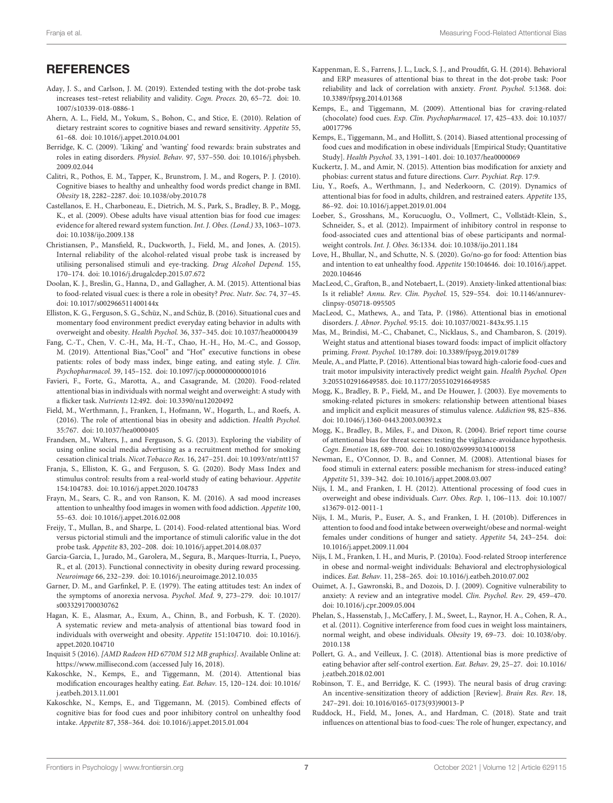#### **REFERENCES**

- <span id="page-6-31"></span>Aday, J. S., and Carlson, J. M. (2019). Extended testing with the dot-probe task increases test–retest reliability and validity. Cogn. Proces. 20, 65–72. [doi: 10.](https://doi.org/10.1007/s10339-018-0886-1) [1007/s10339-018-0886-1](https://doi.org/10.1007/s10339-018-0886-1)
- <span id="page-6-36"></span>Ahern, A. L., Field, M., Yokum, S., Bohon, C., and Stice, E. (2010). Relation of dietary restraint scores to cognitive biases and reward sensitivity. Appetite 55, 61–68. [doi: 10.1016/j.appet.2010.04.001](https://doi.org/10.1016/j.appet.2010.04.001)
- <span id="page-6-34"></span>Berridge, K. C. (2009). 'Liking' and 'wanting' food rewards: brain substrates and roles in eating disorders. Physiol. Behav. 97, 537–550. [doi: 10.1016/j.physbeh.](https://doi.org/10.1016/j.physbeh.2009.02.044) [2009.02.044](https://doi.org/10.1016/j.physbeh.2009.02.044)
- <span id="page-6-6"></span>Calitri, R., Pothos, E. M., Tapper, K., Brunstrom, J. M., and Rogers, P. J. (2010). Cognitive biases to healthy and unhealthy food words predict change in BMI. Obesity 18, 2282–2287. [doi: 10.1038/oby.2010.78](https://doi.org/10.1038/oby.2010.78)
- <span id="page-6-5"></span>Castellanos, E. H., Charboneau, E., Dietrich, M. S., Park, S., Bradley, B. P., Mogg, K., et al. (2009). Obese adults have visual attention bias for food cue images: evidence for altered reward system function. Int. J. Obes. (Lond.) 33, 1063–1073. [doi: 10.1038/ijo.2009.138](https://doi.org/10.1038/ijo.2009.138)
- <span id="page-6-22"></span>Christiansen, P., Mansfield, R., Duckworth, J., Field, M., and Jones, A. (2015). Internal reliability of the alcohol-related visual probe task is increased by utilising personalised stimuli and eye-tracking. Drug Alcohol Depend. 155, 170–174. [doi: 10.1016/j.drugalcdep.2015.07.672](https://doi.org/10.1016/j.drugalcdep.2015.07.672)
- <span id="page-6-39"></span>Doolan, K. J., Breslin, G., Hanna, D., and Gallagher, A. M. (2015). Attentional bias to food-related visual cues: is there a role in obesity? Proc. Nutr. Soc. 74, 37–45. [doi: 10.1017/s002966511400144x](https://doi.org/10.1017/s002966511400144x)
- <span id="page-6-28"></span>Elliston, K. G., Ferguson, S. G., Schüz, N., and Schüz, B. (2016). Situational cues and momentary food environment predict everyday eating behavior in adults with overweight and obesity. Health Psychol. 36, 337–345. [doi: 10.1037/hea0000439](https://doi.org/10.1037/hea0000439)
- <span id="page-6-18"></span>Fang, C.-T., Chen, V. C.-H., Ma, H.-T., Chao, H.-H., Ho, M.-C., and Gossop, M. (2019). Attentional Bias,"Cool" and "Hot" executive functions in obese patients: roles of body mass index, binge eating, and eating style. J. Clin. Psychopharmacol. 39, 145–152. [doi: 10.1097/jcp.0000000000001016](https://doi.org/10.1097/jcp.0000000000001016)
- <span id="page-6-14"></span>Favieri, F., Forte, G., Marotta, A., and Casagrande, M. (2020). Food-related attentional bias in individuals with normal weight and overweight: A study with a flicker task. Nutrients 12:492. [doi: 10.3390/nu12020492](https://doi.org/10.3390/nu12020492)
- <span id="page-6-4"></span>Field, M., Werthmann, J., Franken, I., Hofmann, W., Hogarth, L., and Roefs, A. (2016). The role of attentional bias in obesity and addiction. Health Psychol. 35:767. [doi: 10.1037/hea0000405](https://doi.org/10.1037/hea0000405)
- <span id="page-6-25"></span>Frandsen, M., Walters, J., and Ferguson, S. G. (2013). Exploring the viability of using online social media advertising as a recruitment method for smoking cessation clinical trials. Nicot.Tobacco Res. 16, 247–251. [doi: 10.1093/ntr/ntt157](https://doi.org/10.1093/ntr/ntt157)
- <span id="page-6-27"></span>Franja, S., Elliston, K. G., and Ferguson, S. G. (2020). Body Mass Index and stimulus control: results from a real-world study of eating behaviour. Appetite 154:104783. [doi: 10.1016/j.appet.2020.104783](https://doi.org/10.1016/j.appet.2020.104783)
- <span id="page-6-40"></span>Frayn, M., Sears, C. R., and von Ranson, K. M. (2016). A sad mood increases attention to unhealthy food images in women with food addiction. Appetite 100, 55–63. [doi: 10.1016/j.appet.2016.02.008](https://doi.org/10.1016/j.appet.2016.02.008)
- <span id="page-6-30"></span>Freijy, T., Mullan, B., and Sharpe, L. (2014). Food-related attentional bias. Word versus pictorial stimuli and the importance of stimuli calorific value in the dot probe task. Appetite 83, 202–208. [doi: 10.1016/j.appet.2014.08.037](https://doi.org/10.1016/j.appet.2014.08.037)
- <span id="page-6-9"></span>Garcia-Garcia, I., Jurado, M., Garolera, M., Segura, B., Marques-Iturria, I., Pueyo, R., et al. (2013). Functional connectivity in obesity during reward processing. Neuroimage 66, 232–239. [doi: 10.1016/j.neuroimage.2012.10.035](https://doi.org/10.1016/j.neuroimage.2012.10.035)
- <span id="page-6-26"></span>Garner, D. M., and Garfinkel, P. E. (1979). The eating attitudes test: An index of the symptoms of anorexia nervosa. Psychol. Med. 9, 273–279. [doi: 10.1017/](https://doi.org/10.1017/s0033291700030762) [s0033291700030762](https://doi.org/10.1017/s0033291700030762)
- <span id="page-6-42"></span>Hagan, K. E., Alasmar, A., Exum, A., Chinn, B., and Forbush, K. T. (2020). A systematic review and meta-analysis of attentional bias toward food in individuals with overweight and obesity. Appetite 151:104710. [doi: 10.1016/j.](https://doi.org/10.1016/j.appet.2020.104710) [appet.2020.104710](https://doi.org/10.1016/j.appet.2020.104710)
- <span id="page-6-29"></span>Inquisit 5 (2016). [AMD Radeon HD 6770M 512 MB graphics]. Available Online at: <https://www.millisecond.com> (accessed July 16, 2018).
- <span id="page-6-7"></span>Kakoschke, N., Kemps, E., and Tiggemann, M. (2014). Attentional bias modification encourages healthy eating. Eat. Behav. 15, 120–124. [doi: 10.1016/](https://doi.org/10.1016/j.eatbeh.2013.11.001) [j.eatbeh.2013.11.001](https://doi.org/10.1016/j.eatbeh.2013.11.001)
- <span id="page-6-37"></span>Kakoschke, N., Kemps, E., and Tiggemann, M. (2015). Combined effects of cognitive bias for food cues and poor inhibitory control on unhealthy food intake. Appetite 87, 358–364. [doi: 10.1016/j.appet.2015.01.004](https://doi.org/10.1016/j.appet.2015.01.004)
- <span id="page-6-21"></span>Kappenman, E. S., Farrens, J. L., Luck, S. J., and Proudfit, G. H. (2014). Behavioral and ERP measures of attentional bias to threat in the dot-probe task: Poor reliability and lack of correlation with anxiety. Front. Psychol. 5:1368. [doi:](https://doi.org/10.3389/fpsyg.2014.01368) [10.3389/fpsyg.2014.01368](https://doi.org/10.3389/fpsyg.2014.01368)
- <span id="page-6-35"></span>Kemps, E., and Tiggemann, M. (2009). Attentional bias for craving-related (chocolate) food cues. Exp. Clin. Psychopharmacol. 17, 425–433. [doi: 10.1037/](https://doi.org/10.1037/a0017796) [a0017796](https://doi.org/10.1037/a0017796)
- <span id="page-6-11"></span>Kemps, E., Tiggemann, M., and Hollitt, S. (2014). Biased attentional processing of food cues and modification in obese individuals [Empirical Study; Quantitative Study]. Health Psychol. 33, 1391–1401. [doi: 10.1037/hea0000069](https://doi.org/10.1037/hea0000069)
- <span id="page-6-0"></span>Kuckertz, J. M., and Amir, N. (2015). Attention bias modification for anxiety and phobias: current status and future directions. Curr. Psychiat. Rep. 17:9.
- <span id="page-6-19"></span>Liu, Y., Roefs, A., Werthmann, J., and Nederkoorn, C. (2019). Dynamics of attentional bias for food in adults, children, and restrained eaters. Appetite 135, 86–92. [doi: 10.1016/j.appet.2019.01.004](https://doi.org/10.1016/j.appet.2019.01.004)
- <span id="page-6-8"></span>Loeber, S., Grosshans, M., Korucuoglu, O., Vollmert, C., Vollstädt-Klein, S., Schneider, S., et al. (2012). Impairment of inhibitory control in response to food-associated cues and attentional bias of obese participants and normalweight controls. Int. J. Obes. 36:1334. [doi: 10.1038/ijo.2011.184](https://doi.org/10.1038/ijo.2011.184)
- <span id="page-6-15"></span>Love, H., Bhullar, N., and Schutte, N. S. (2020). Go/no-go for food: Attention bias and intention to eat unhealthy food. Appetite 150:104646. [doi: 10.1016/j.appet.](https://doi.org/10.1016/j.appet.2020.104646) [2020.104646](https://doi.org/10.1016/j.appet.2020.104646)
- <span id="page-6-23"></span>MacLeod, C., Grafton, B., and Notebaert, L. (2019). Anxiety-linked attentional bias: Is it reliable? Annu. Rev. Clin. Psychol. 15, 529–554. [doi: 10.1146/annurev](https://doi.org/10.1146/annurev-clinpsy-050718-095505)[clinpsy-050718-095505](https://doi.org/10.1146/annurev-clinpsy-050718-095505)
- <span id="page-6-2"></span>MacLeod, C., Mathews, A., and Tata, P. (1986). Attentional bias in emotional disorders. J. Abnor. Psychol. 95:15. [doi: 10.1037/0021-843x.95.1.15](https://doi.org/10.1037/0021-843x.95.1.15)
- <span id="page-6-20"></span>Mas, M., Brindisi, M.-C., Chabanet, C., Nicklaus, S., and Chambaron, S. (2019). Weight status and attentional biases toward foods: impact of implicit olfactory priming. Front. Psychol. 10:1789. [doi: 10.3389/fpsyg.2019.01789](https://doi.org/10.3389/fpsyg.2019.01789)
- <span id="page-6-16"></span>Meule, A., and Platte, P. (2016). Attentional bias toward high-calorie food-cues and trait motor impulsivity interactively predict weight gain. Health Psychol. Open 3:2055102916649585. [doi: 10.1177/2055102916649585](https://doi.org/10.1177/2055102916649585)
- <span id="page-6-3"></span>Mogg, K., Bradley, B. P., Field, M., and De Houwer, J. (2003). Eye movements to smoking-related pictures in smokers: relationship between attentional biases and implicit and explicit measures of stimulus valence. Addiction 98, 825–836. [doi: 10.1046/j.1360-0443.2003.00392.x](https://doi.org/10.1046/j.1360-0443.2003.00392.x)
- <span id="page-6-33"></span>Mogg, K., Bradley, B., Miles, F., and Dixon, R. (2004). Brief report time course of attentional bias for threat scenes: testing the vigilance-avoidance hypothesis. Cogn. Emotion 18, 689–700. [doi: 10.1080/02699930341000158](https://doi.org/10.1080/02699930341000158)
- <span id="page-6-32"></span>Newman, E., O'Connor, D. B., and Conner, M. (2008). Attentional biases for food stimuli in external eaters: possible mechanism for stress-induced eating? Appetite 51, 339–342. [doi: 10.1016/j.appet.2008.03.007](https://doi.org/10.1016/j.appet.2008.03.007)
- <span id="page-6-10"></span>Nijs, I. M., and Franken, I. H. (2012). Attentional processing of food cues in overweight and obese individuals. Curr. Obes. Rep. 1, 106–113. [doi: 10.1007/](https://doi.org/10.1007/s13679-012-0011-1) [s13679-012-0011-1](https://doi.org/10.1007/s13679-012-0011-1)
- <span id="page-6-1"></span>Nijs, I. M., Muris, P., Euser, A. S., and Franken, I. H. (2010b). Differences in attention to food and food intake between overweight/obese and normal-weight females under conditions of hunger and satiety. Appetite 54, 243–254. [doi:](https://doi.org/10.1016/j.appet.2009.11.004) [10.1016/j.appet.2009.11.004](https://doi.org/10.1016/j.appet.2009.11.004)
- <span id="page-6-12"></span>Nijs, I. M., Franken, I. H., and Muris, P. (2010a). Food-related Stroop interference in obese and normal-weight individuals: Behavioral and electrophysiological indices. Eat. Behav. 11, 258–265. [doi: 10.1016/j.eatbeh.2010.07.002](https://doi.org/10.1016/j.eatbeh.2010.07.002)
- <span id="page-6-38"></span>Ouimet, A. J., Gawronski, B., and Dozois, D. J. (2009). Cognitive vulnerability to anxiety: A review and an integrative model. Clin. Psychol. Rev. 29, 459–470. [doi: 10.1016/j.cpr.2009.05.004](https://doi.org/10.1016/j.cpr.2009.05.004)
- <span id="page-6-13"></span>Phelan, S., Hassenstab, J., McCaffery, J. M., Sweet, L., Raynor, H. A., Cohen, R. A., et al. (2011). Cognitive interference from food cues in weight loss maintainers, normal weight, and obese individuals. Obesity 19, 69–73. [doi: 10.1038/oby.](https://doi.org/10.1038/oby.2010.138) [2010.138](https://doi.org/10.1038/oby.2010.138)
- <span id="page-6-41"></span>Pollert, G. A., and Veilleux, J. C. (2018). Attentional bias is more predictive of eating behavior after self-control exertion. Eat. Behav. 29, 25–27. [doi: 10.1016/](https://doi.org/10.1016/j.eatbeh.2018.02.001) [j.eatbeh.2018.02.001](https://doi.org/10.1016/j.eatbeh.2018.02.001)
- <span id="page-6-24"></span>Robinson, T. E., and Berridge, K. C. (1993). The neural basis of drug craving: An incentive-sensitization theory of addiction [Review]. Brain Res. Rev. 18, 247–291. [doi: 10.1016/0165-0173\(93\)90013-P](https://doi.org/10.1016/0165-0173(93)90013-P)
- <span id="page-6-17"></span>Ruddock, H., Field, M., Jones, A., and Hardman, C. (2018). State and trait influences on attentional bias to food-cues: The role of hunger, expectancy, and